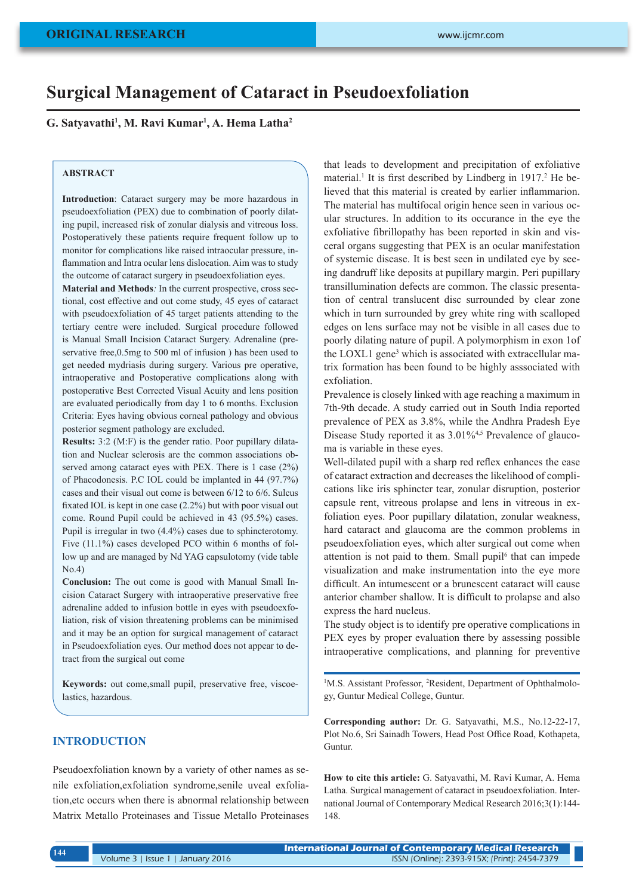# **Surgical Management of Cataract in Pseudoexfoliation**

**G. Satyavathi1 , M. Ravi Kumar1 , A. Hema Latha2**

### **ABSTRACT**

**Introduction**: Cataract surgery may be more hazardous in pseudoexfoliation (PEX) due to combination of poorly dilating pupil, increased risk of zonular dialysis and vitreous loss. Postoperatively these patients require frequent follow up to monitor for complications like raised intraocular pressure, inflammation and Intra ocular lens dislocation. Aim was to study the outcome of cataract surgery in pseudoexfoliation eyes.

**Material and Methods***:* In the current prospective, cross sectional, cost effective and out come study, 45 eyes of cataract with pseudoexfoliation of 45 target patients attending to the tertiary centre were included. Surgical procedure followed is Manual Small Incision Cataract Surgery. Adrenaline (preservative free,0.5mg to 500 ml of infusion ) has been used to get needed mydriasis during surgery. Various pre operative, intraoperative and Postoperative complications along with postoperative Best Corrected Visual Acuity and lens position are evaluated periodically from day 1 to 6 months. Exclusion Criteria: Eyes having obvious corneal pathology and obvious posterior segment pathology are excluded.

**Results:** 3:2 (M:F) is the gender ratio. Poor pupillary dilatation and Nuclear sclerosis are the common associations observed among cataract eyes with PEX. There is 1 case (2%) of Phacodonesis. P.C IOL could be implanted in 44 (97.7%) cases and their visual out come is between 6/12 to 6/6. Sulcus fixated IOL is kept in one case (2.2%) but with poor visual out come. Round Pupil could be achieved in 43 (95.5%) cases. Pupil is irregular in two (4.4%) cases due to sphincterotomy. Five (11.1%) cases developed PCO within 6 months of follow up and are managed by Nd YAG capsulotomy (vide table No.4)

**Conclusion:** The out come is good with Manual Small Incision Cataract Surgery with intraoperative preservative free adrenaline added to infusion bottle in eyes with pseudoexfoliation, risk of vision threatening problems can be minimised and it may be an option for surgical management of cataract in Pseudoexfoliation eyes. Our method does not appear to detract from the surgical out come

**Keywords:** out come,small pupil, preservative free, viscoelastics, hazardous.

# **INTRODUCTION**

Pseudoexfoliation known by a variety of other names as senile exfoliation,exfoliation syndrome,senile uveal exfoliation,etc occurs when there is abnormal relationship between Matrix Metallo Proteinases and Tissue Metallo Proteinases that leads to development and precipitation of exfoliative material.<sup>1</sup> It is first described by Lindberg in 1917.<sup>2</sup> He believed that this material is created by earlier inflammarion. The material has multifocal origin hence seen in various ocular structures. In addition to its occurance in the eye the exfoliative fibrillopathy has been reported in skin and visceral organs suggesting that PEX is an ocular manifestation of systemic disease. It is best seen in undilated eye by seeing dandruff like deposits at pupillary margin. Peri pupillary transillumination defects are common. The classic presentation of central translucent disc surrounded by clear zone which in turn surrounded by grey white ring with scalloped edges on lens surface may not be visible in all cases due to poorly dilating nature of pupil. A polymorphism in exon 1of the LOXL1 gene<sup>3</sup> which is associated with extracellular matrix formation has been found to be highly asssociated with exfoliation.

Prevalence is closely linked with age reaching a maximum in 7th-9th decade. A study carried out in South India reported prevalence of PEX as 3.8%, while the Andhra Pradesh Eye Disease Study reported it as  $3.01\%$ <sup>4,5</sup> Prevalence of glaucoma is variable in these eyes.

Well-dilated pupil with a sharp red reflex enhances the ease of cataract extraction and decreases the likelihood of complications like iris sphincter tear, zonular disruption, posterior capsule rent, vitreous prolapse and lens in vitreous in exfoliation eyes. Poor pupillary dilatation, zonular weakness, hard cataract and glaucoma are the common problems in pseudoexfoliation eyes, which alter surgical out come when attention is not paid to them. Small pupil<sup>6</sup> that can impede visualization and make instrumentation into the eye more difficult. An intumescent or a brunescent cataract will cause anterior chamber shallow. It is difficult to prolapse and also express the hard nucleus.

The study object is to identify pre operative complications in PEX eyes by proper evaluation there by assessing possible intraoperative complications, and planning for preventive

<sup>1</sup>M.S. Assistant Professor, <sup>2</sup>Resident, Department of Ophthalmology, Guntur Medical College, Guntur.

**Corresponding author:** Dr. G. Satyavathi, M.S., No.12-22-17, Plot No.6, Sri Sainadh Towers, Head Post Office Road, Kothapeta, Guntur.

**How to cite this article:** G. Satyavathi, M. Ravi Kumar, A. Hema Latha. Surgical management of cataract in pseudoexfoliation. International Journal of Contemporary Medical Research 2016;3(1):144- 148.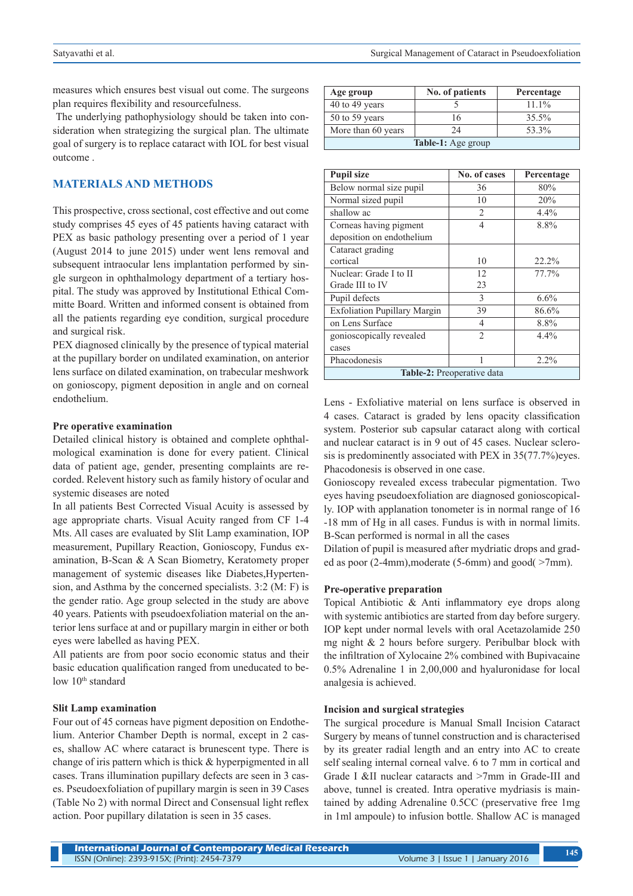measures which ensures best visual out come. The surgeons plan requires flexibility and resourcefulness.

 The underlying pathophysiology should be taken into consideration when strategizing the surgical plan. The ultimate goal of surgery is to replace cataract with IOL for best visual outcome .

# **MATERIALS AND METHODS**

This prospective, cross sectional, cost effective and out come study comprises 45 eyes of 45 patients having cataract with PEX as basic pathology presenting over a period of 1 year (August 2014 to june 2015) under went lens removal and subsequent intraocular lens implantation performed by single surgeon in ophthalmology department of a tertiary hospital. The study was approved by Institutional Ethical Committe Board. Written and informed consent is obtained from all the patients regarding eye condition, surgical procedure and surgical risk.

PEX diagnosed clinically by the presence of typical material at the pupillary border on undilated examination, on anterior lens surface on dilated examination, on trabecular meshwork on gonioscopy, pigment deposition in angle and on corneal endothelium.

#### **Pre operative examination**

Detailed clinical history is obtained and complete ophthalmological examination is done for every patient. Clinical data of patient age, gender, presenting complaints are recorded. Relevent history such as family history of ocular and systemic diseases are noted

In all patients Best Corrected Visual Acuity is assessed by age appropriate charts. Visual Acuity ranged from CF 1-4 Mts. All cases are evaluated by Slit Lamp examination, IOP measurement, Pupillary Reaction, Gonioscopy, Fundus examination, B-Scan & A Scan Biometry, Keratomety proper management of systemic diseases like Diabetes,Hypertension, and Asthma by the concerned specialists. 3:2 (M: F) is the gender ratio. Age group selected in the study are above 40 years. Patients with pseudoexfoliation material on the anterior lens surface at and or pupillary margin in either or both eyes were labelled as having PEX.

All patients are from poor socio economic status and their basic education qualification ranged from uneducated to below 10<sup>th</sup> standard

#### **Slit Lamp examination**

Four out of 45 corneas have pigment deposition on Endothelium. Anterior Chamber Depth is normal, except in 2 cases, shallow AC where cataract is brunescent type. There is change of iris pattern which is thick & hyperpigmented in all cases. Trans illumination pupillary defects are seen in 3 cases. Pseudoexfoliation of pupillary margin is seen in 39 Cases (Table No 2) with normal Direct and Consensual light reflex action. Poor pupillary dilatation is seen in 35 cases.

| Age group                 | No. of patients | Percentage |  |  |
|---------------------------|-----------------|------------|--|--|
| 40 to 49 years            |                 | $11.1\%$   |  |  |
| 50 to 59 years            | 16              | 35.5%      |  |  |
| More than 60 years        | 24              | 53.3%      |  |  |
| <b>Table-1:</b> Age group |                 |            |  |  |

| <b>Pupil size</b>                                   | No. of cases   | Percentage |  |  |
|-----------------------------------------------------|----------------|------------|--|--|
| Below normal size pupil                             | 36             | 80%        |  |  |
| Normal sized pupil                                  | 10             | 20%        |  |  |
| shallow ac                                          | $\mathfrak{D}$ | 4.4%       |  |  |
| Corneas having pigment<br>deposition on endothelium | $\overline{4}$ | 8.8%       |  |  |
| Cataract grading                                    |                |            |  |  |
| cortical                                            | 10             | 22.2%      |  |  |
| Nuclear: Grade I to II                              | 12             | 77.7%      |  |  |
| Grade III to IV                                     | 23             |            |  |  |
| Pupil defects                                       | 3              | 6.6%       |  |  |
| <b>Exfoliation Pupillary Margin</b>                 | 39             | 86.6%      |  |  |
| on Lens Surface                                     | $\overline{4}$ | 8.8%       |  |  |
| gonioscopically revealed                            | $\overline{2}$ | 4.4%       |  |  |
| cases                                               |                |            |  |  |
| Phacodonesis                                        | 1              | $2.2\%$    |  |  |
| Table-2: Preoperative data                          |                |            |  |  |

Lens - Exfoliative material on lens surface is observed in 4 cases. Cataract is graded by lens opacity classification system. Posterior sub capsular cataract along with cortical and nuclear cataract is in 9 out of 45 cases. Nuclear sclerosis is predominently associated with PEX in 35(77.7%)eyes. Phacodonesis is observed in one case.

Gonioscopy revealed excess trabecular pigmentation. Two eyes having pseudoexfoliation are diagnosed gonioscopically. IOP with applanation tonometer is in normal range of 16 -18 mm of Hg in all cases. Fundus is with in normal limits. B-Scan performed is normal in all the cases

Dilation of pupil is measured after mydriatic drops and graded as poor (2-4mm),moderate (5-6mm) and good( >7mm).

#### **Pre-operative preparation**

Topical Antibiotic & Anti inflammatory eye drops along with systemic antibiotics are started from day before surgery. IOP kept under normal levels with oral Acetazolamide 250 mg night & 2 hours before surgery. Peribulbar block with the infiltration of Xylocaine 2% combined with Bupivacaine 0.5% Adrenaline 1 in 2,00,000 and hyaluronidase for local analgesia is achieved.

#### **Incision and surgical strategies**

The surgical procedure is Manual Small Incision Cataract Surgery by means of tunnel construction and is characterised by its greater radial length and an entry into AC to create self sealing internal corneal valve. 6 to 7 mm in cortical and Grade I &II nuclear cataracts and >7mm in Grade-III and above, tunnel is created. Intra operative mydriasis is maintained by adding Adrenaline 0.5CC (preservative free 1mg in 1ml ampoule) to infusion bottle. Shallow AC is managed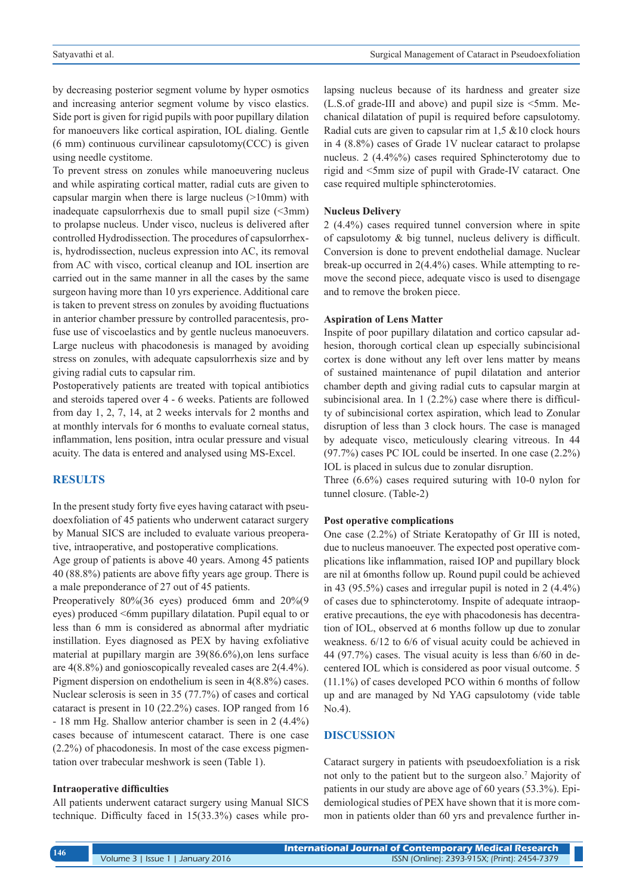by decreasing posterior segment volume by hyper osmotics and increasing anterior segment volume by visco elastics. Side port is given for rigid pupils with poor pupillary dilation for manoeuvers like cortical aspiration, IOL dialing. Gentle (6 mm) continuous curvilinear capsulotomy(CCC) is given using needle cystitome.

To prevent stress on zonules while manoeuvering nucleus and while aspirating cortical matter, radial cuts are given to capsular margin when there is large nucleus (>10mm) with inadequate capsulorrhexis due to small pupil size  $(\leq 3$ mm) to prolapse nucleus. Under visco, nucleus is delivered after controlled Hydrodissection. The procedures of capsulorrhexis, hydrodissection, nucleus expression into AC, its removal from AC with visco, cortical cleanup and IOL insertion are carried out in the same manner in all the cases by the same surgeon having more than 10 yrs experience. Additional care is taken to prevent stress on zonules by avoiding fluctuations in anterior chamber pressure by controlled paracentesis, profuse use of viscoelastics and by gentle nucleus manoeuvers. Large nucleus with phacodonesis is managed by avoiding stress on zonules, with adequate capsulorrhexis size and by giving radial cuts to capsular rim.

Postoperatively patients are treated with topical antibiotics and steroids tapered over 4 - 6 weeks. Patients are followed from day 1, 2, 7, 14, at 2 weeks intervals for 2 months and at monthly intervals for 6 months to evaluate corneal status, inflammation, lens position, intra ocular pressure and visual acuity. The data is entered and analysed using MS-Excel.

#### **RESULTS**

In the present study forty five eyes having cataract with pseudoexfoliation of 45 patients who underwent cataract surgery by Manual SICS are included to evaluate various preoperative, intraoperative, and postoperative complications.

Age group of patients is above 40 years. Among 45 patients 40 (88.8%) patients are above fifty years age group. There is a male preponderance of 27 out of 45 patients.

Preoperatively 80%(36 eyes) produced 6mm and 20%(9 eyes) produced <6mm pupillary dilatation. Pupil equal to or less than 6 mm is considered as abnormal after mydriatic instillation. Eyes diagnosed as PEX by having exfoliative material at pupillary margin are 39(86.6%),on lens surface are 4(8.8%) and gonioscopically revealed cases are 2(4.4%). Pigment dispersion on endothelium is seen in 4(8.8%) cases. Nuclear sclerosis is seen in 35 (77.7%) of cases and cortical cataract is present in 10 (22.2%) cases. IOP ranged from 16 - 18 mm Hg. Shallow anterior chamber is seen in 2 (4.4%) cases because of intumescent cataract. There is one case (2.2%) of phacodonesis. In most of the case excess pigmentation over trabecular meshwork is seen (Table 1).

#### **Intraoperative difficulties**

All patients underwent cataract surgery using Manual SICS technique. Difficulty faced in 15(33.3%) cases while pro-

lapsing nucleus because of its hardness and greater size  $(L.S. of grade-III)$  and above) and pupil size is  $\leq 5$ mm. Mechanical dilatation of pupil is required before capsulotomy. Radial cuts are given to capsular rim at 1,5 &10 clock hours in 4 (8.8%) cases of Grade 1V nuclear cataract to prolapse nucleus. 2 (4.4%%) cases required Sphincterotomy due to rigid and <5mm size of pupil with Grade-IV cataract. One case required multiple sphincterotomies.

#### **Nucleus Delivery**

2 (4.4%) cases required tunnel conversion where in spite of capsulotomy & big tunnel, nucleus delivery is difficult. Conversion is done to prevent endothelial damage. Nuclear break-up occurred in 2(4.4%) cases. While attempting to remove the second piece, adequate visco is used to disengage and to remove the broken piece.

#### **Aspiration of Lens Matter**

Inspite of poor pupillary dilatation and cortico capsular adhesion, thorough cortical clean up especially subincisional cortex is done without any left over lens matter by means of sustained maintenance of pupil dilatation and anterior chamber depth and giving radial cuts to capsular margin at subincisional area. In 1 (2.2%) case where there is difficulty of subincisional cortex aspiration, which lead to Zonular disruption of less than 3 clock hours. The case is managed by adequate visco, meticulously clearing vitreous. In 44 (97.7%) cases PC IOL could be inserted. In one case (2.2%) IOL is placed in sulcus due to zonular disruption.

Three (6.6%) cases required suturing with 10-0 nylon for tunnel closure. (Table-2)

#### **Post operative complications**

One case (2.2%) of Striate Keratopathy of Gr III is noted, due to nucleus manoeuver. The expected post operative complications like inflammation, raised IOP and pupillary block are nil at 6months follow up. Round pupil could be achieved in 43 (95.5%) cases and irregular pupil is noted in 2 (4.4%) of cases due to sphincterotomy. Inspite of adequate intraoperative precautions, the eye with phacodonesis has decentration of IOL, observed at 6 months follow up due to zonular weakness. 6/12 to 6/6 of visual acuity could be achieved in 44 (97.7%) cases. The visual acuity is less than 6/60 in decentered IOL which is considered as poor visual outcome. 5 (11.1%) of cases developed PCO within 6 months of follow up and are managed by Nd YAG capsulotomy (vide table No.4).

## **DISCUSSION**

Cataract surgery in patients with pseudoexfoliation is a risk not only to the patient but to the surgeon also.<sup>7</sup> Majority of patients in our study are above age of 60 years (53.3%). Epidemiological studies of PEX have shown that it is more common in patients older than 60 yrs and prevalence further in-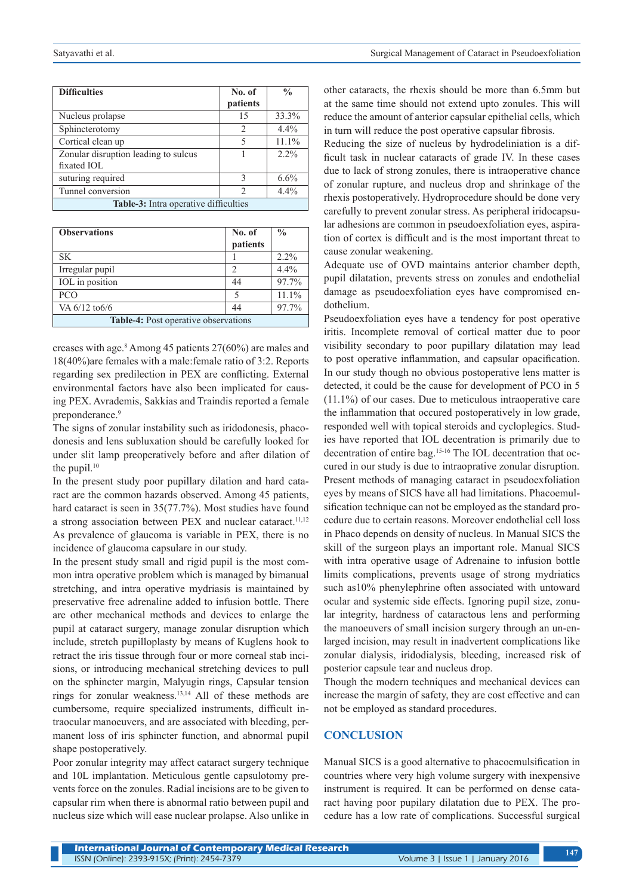| <b>Difficulties</b>                   | No. of         | $\frac{0}{0}$ |  |  |
|---------------------------------------|----------------|---------------|--|--|
|                                       | patients       |               |  |  |
| Nucleus prolapse                      | 15             | 33.3%         |  |  |
| Sphincterotomy                        | $\overline{2}$ | 4.4%          |  |  |
| Cortical clean up                     | 5              | 11.1%         |  |  |
| Zonular disruption leading to sulcus  |                | $2.2\%$       |  |  |
| fixated IOL                           |                |               |  |  |
| suturing required                     | $\mathcal{E}$  | 6.6%          |  |  |
| Tunnel conversion                     | 2              | 4.4%          |  |  |
| Table-3: Intra operative difficulties |                |               |  |  |

| <b>Observations</b>                         | No. of<br>patients | $\frac{0}{0}$ |  |  |
|---------------------------------------------|--------------------|---------------|--|--|
| SK.                                         |                    | $2.2\%$       |  |  |
| Irregular pupil                             |                    | $4.4\%$       |  |  |
| IOL in position                             | 44                 | 97.7%         |  |  |
| <b>PCO</b>                                  | 5                  | 11.1%         |  |  |
| VA 6/12 to 6/6                              | 44                 | 97.7%         |  |  |
| <b>Table-4:</b> Post operative observations |                    |               |  |  |

creases with age.8 Among 45 patients 27(60%) are males and 18(40%)are females with a male:female ratio of 3:2. Reports regarding sex predilection in PEX are conflicting. External environmental factors have also been implicated for causing PEX. Avrademis, Sakkias and Traindis reported a female preponderance.<sup>9</sup>

The signs of zonular instability such as iridodonesis, phacodonesis and lens subluxation should be carefully looked for under slit lamp preoperatively before and after dilation of the pupil. $10$ 

In the present study poor pupillary dilation and hard cataract are the common hazards observed. Among 45 patients, hard cataract is seen in 35(77.7%). Most studies have found a strong association between PEX and nuclear cataract.<sup>11,12</sup> As prevalence of glaucoma is variable in PEX, there is no incidence of glaucoma capsulare in our study.

In the present study small and rigid pupil is the most common intra operative problem which is managed by bimanual stretching, and intra operative mydriasis is maintained by preservative free adrenaline added to infusion bottle. There are other mechanical methods and devices to enlarge the pupil at cataract surgery, manage zonular disruption which include, stretch pupilloplasty by means of Kuglens hook to retract the iris tissue through four or more corneal stab incisions, or introducing mechanical stretching devices to pull on the sphincter margin, Malyugin rings, Capsular tension rings for zonular weakness.13,14 All of these methods are cumbersome, require specialized instruments, difficult intraocular manoeuvers, and are associated with bleeding, permanent loss of iris sphincter function, and abnormal pupil shape postoperatively.

Poor zonular integrity may affect cataract surgery technique and 10L implantation. Meticulous gentle capsulotomy prevents force on the zonules. Radial incisions are to be given to capsular rim when there is abnormal ratio between pupil and nucleus size which will ease nuclear prolapse. Also unlike in other cataracts, the rhexis should be more than 6.5mm but at the same time should not extend upto zonules. This will reduce the amount of anterior capsular epithelial cells, which in turn will reduce the post operative capsular fibrosis.

Reducing the size of nucleus by hydrodeliniation is a difficult task in nuclear cataracts of grade IV. In these cases due to lack of strong zonules, there is intraoperative chance of zonular rupture, and nucleus drop and shrinkage of the rhexis postoperatively. Hydroprocedure should be done very carefully to prevent zonular stress. As peripheral iridocapsular adhesions are common in pseudoexfoliation eyes, aspiration of cortex is difficult and is the most important threat to cause zonular weakening.

Adequate use of OVD maintains anterior chamber depth, pupil dilatation, prevents stress on zonules and endothelial damage as pseudoexfoliation eyes have compromised endothelium.

Pseudoexfoliation eyes have a tendency for post operative iritis. Incomplete removal of cortical matter due to poor visibility secondary to poor pupillary dilatation may lead to post operative inflammation, and capsular opacification. In our study though no obvious postoperative lens matter is detected, it could be the cause for development of PCO in 5 (11.1%) of our cases. Due to meticulous intraoperative care the inflammation that occured postoperatively in low grade, responded well with topical steroids and cycloplegics. Studies have reported that IOL decentration is primarily due to decentration of entire bag.15-16 The IOL decentration that occured in our study is due to intraoprative zonular disruption. Present methods of managing cataract in pseudoexfoliation eyes by means of SICS have all had limitations. Phacoemulsification technique can not be employed as the standard procedure due to certain reasons. Moreover endothelial cell loss in Phaco depends on density of nucleus. In Manual SICS the skill of the surgeon plays an important role. Manual SICS with intra operative usage of Adrenaine to infusion bottle limits complications, prevents usage of strong mydriatics such as10% phenylephrine often associated with untoward ocular and systemic side effects. Ignoring pupil size, zonular integrity, hardness of cataractous lens and performing the manoeuvers of small incision surgery through an un-enlarged incision, may result in inadvertent complications like zonular dialysis, iridodialysis, bleeding, increased risk of posterior capsule tear and nucleus drop.

Though the modern techniques and mechanical devices can increase the margin of safety, they are cost effective and can not be employed as standard procedures.

# **CONCLUSION**

Manual SICS is a good alternative to phacoemulsification in countries where very high volume surgery with inexpensive instrument is required. It can be performed on dense cataract having poor pupilary dilatation due to PEX. The procedure has a low rate of complications. Successful surgical